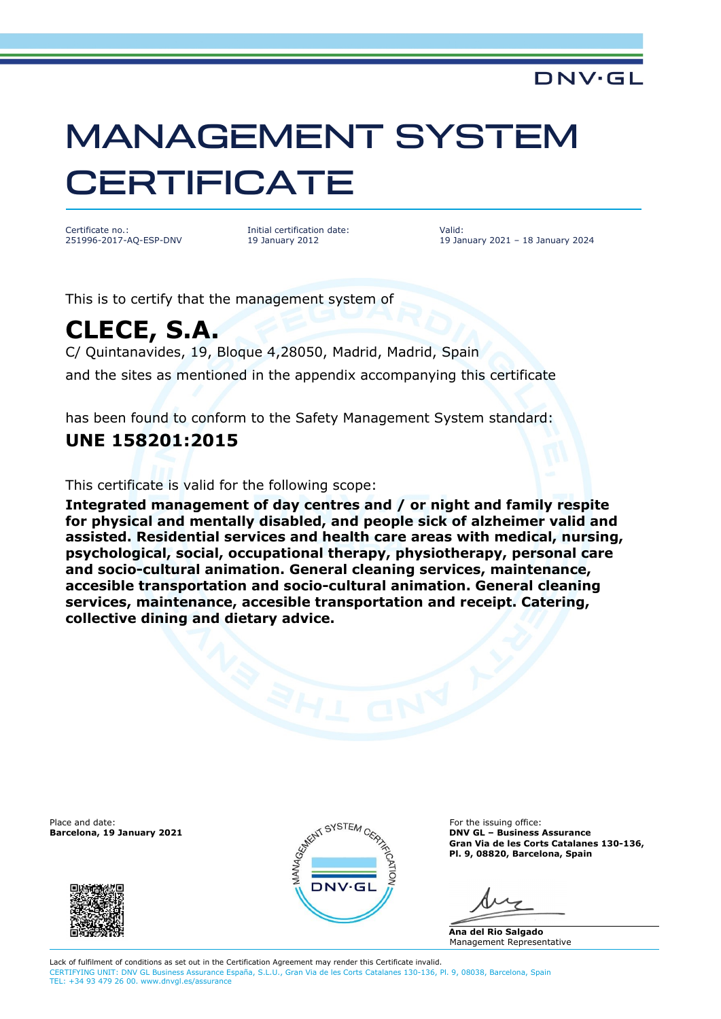# MANAGEMENT SYSTEM **CERTIFICATE**

Certificate no.: 251996-2017-AQ-ESP-DNV Initial certification date: 19 January 2012

Valid: 19 January 2021 – 18 January 2024

**DNV·GL** 

This is to certify that the management system of

# **CLECE, S.A.**

C/ Quintanavides, 19, Bloque 4,28050, Madrid, Madrid, Spain and the sites as mentioned in the appendix accompanying this certificate

has been found to conform to the Safety Management System standard:

### **UNE 158201:2015**

This certificate is valid for the following scope:

**Integrated management of day centres and / or night and family respite for physical and mentally disabled, and people sick of alzheimer valid and assisted. Residential services and health care areas with medical, nursing, psychological, social, occupational therapy, physiotherapy, personal care and socio-cultural animation. General cleaning services, maintenance, accesible transportation and socio-cultural animation. General cleaning services, maintenance, accesible transportation and receipt. Catering, collective dining and dietary advice.**





**Barcelona, 19 January 2021 DNV GL – Business Assurance Gran Via de les Corts Catalanes 130-136, Pl. 9, 08820, Barcelona, Spain**

**Ana del Rio Salgado** Management Representative

Lack of fulfilment of conditions as set out in the Certification Agreement may render this Certificate invalid. CERTIFYING UNIT: DNV GL Business Assurance España, S.L.U., Gran Via de les Corts Catalanes 130-136, Pl. 9, 08038, Barcelona, Spain TEL: +34 93 479 26 00. www.dnvgl.es/assurance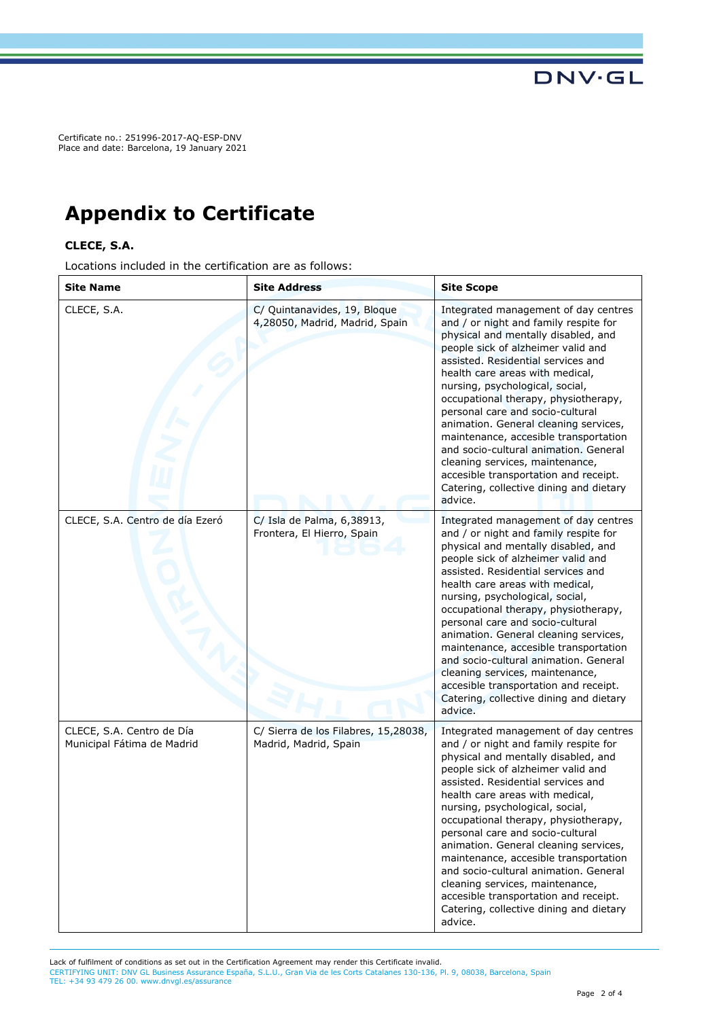Certificate no.: 251996-2017-AQ-ESP-DNV Place and date: Barcelona, 19 January 2021

## **Appendix to Certificate**

#### **CLECE, S.A.**

Locations included in the certification are as follows:

| <b>Site Name</b>                                        | <b>Site Address</b>                                            | <b>Site Scope</b>                                                                                                                                                                                                                                                                                                                                                                                                                                                                                                                                                                                               |
|---------------------------------------------------------|----------------------------------------------------------------|-----------------------------------------------------------------------------------------------------------------------------------------------------------------------------------------------------------------------------------------------------------------------------------------------------------------------------------------------------------------------------------------------------------------------------------------------------------------------------------------------------------------------------------------------------------------------------------------------------------------|
| CLECE, S.A.                                             | C/ Quintanavides, 19, Bloque<br>4,28050, Madrid, Madrid, Spain | Integrated management of day centres<br>and / or night and family respite for<br>physical and mentally disabled, and<br>people sick of alzheimer valid and<br>assisted. Residential services and<br>health care areas with medical,<br>nursing, psychological, social,<br>occupational therapy, physiotherapy,<br>personal care and socio-cultural<br>animation. General cleaning services,<br>maintenance, accesible transportation<br>and socio-cultural animation. General<br>cleaning services, maintenance,<br>accesible transportation and receipt.<br>Catering, collective dining and dietary<br>advice. |
| CLECE, S.A. Centro de día Ezeró                         | C/ Isla de Palma, 6,38913,<br>Frontera, El Hierro, Spain       | Integrated management of day centres<br>and / or night and family respite for<br>physical and mentally disabled, and<br>people sick of alzheimer valid and<br>assisted. Residential services and<br>health care areas with medical,<br>nursing, psychological, social,<br>occupational therapy, physiotherapy,<br>personal care and socio-cultural<br>animation. General cleaning services,<br>maintenance, accesible transportation<br>and socio-cultural animation. General<br>cleaning services, maintenance,<br>accesible transportation and receipt.<br>Catering, collective dining and dietary<br>advice. |
| CLECE, S.A. Centro de Día<br>Municipal Fátima de Madrid | C/ Sierra de los Filabres, 15,28038,<br>Madrid, Madrid, Spain  | Integrated management of day centres<br>and / or night and family respite for<br>physical and mentally disabled, and<br>people sick of alzheimer valid and<br>assisted. Residential services and<br>health care areas with medical,<br>nursing, psychological, social,<br>occupational therapy, physiotherapy,<br>personal care and socio-cultural<br>animation. General cleaning services,<br>maintenance, accesible transportation<br>and socio-cultural animation. General<br>cleaning services, maintenance,<br>accesible transportation and receipt.<br>Catering, collective dining and dietary<br>advice. |

Lack of fulfilment of conditions as set out in the Certification Agreement may render this Certificate invalid. CERTIFYING UNIT: DNV GL Business Assurance España, S.L.U., Gran Via de les Corts Catalanes 130-136, Pl. 9, 08038, Barcelona, Spain TEL: +34 93 479 26 00. www.dnvgl.es/assurance

**DNV·GL**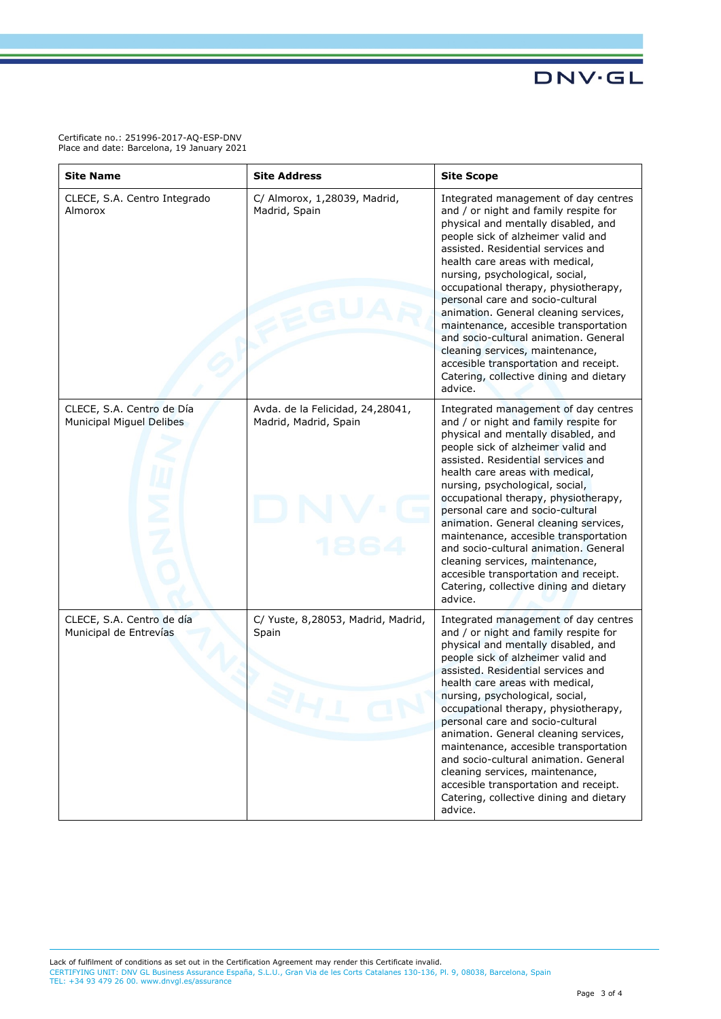**DNV·GL** 

Certificate no.: 251996-2017-AQ-ESP-DNV Place and date: Barcelona, 19 January 2021

| <b>Site Name</b>                                      | <b>Site Address</b>                                       | <b>Site Scope</b>                                                                                                                                                                                                                                                                                                                                                                                                                                                                                                                                                                                               |
|-------------------------------------------------------|-----------------------------------------------------------|-----------------------------------------------------------------------------------------------------------------------------------------------------------------------------------------------------------------------------------------------------------------------------------------------------------------------------------------------------------------------------------------------------------------------------------------------------------------------------------------------------------------------------------------------------------------------------------------------------------------|
| CLECE, S.A. Centro Integrado<br>Almorox               | C/ Almorox, 1,28039, Madrid,<br>Madrid, Spain             | Integrated management of day centres<br>and / or night and family respite for<br>physical and mentally disabled, and<br>people sick of alzheimer valid and<br>assisted. Residential services and<br>health care areas with medical,<br>nursing, psychological, social,<br>occupational therapy, physiotherapy,<br>personal care and socio-cultural<br>animation. General cleaning services,<br>maintenance, accesible transportation<br>and socio-cultural animation. General<br>cleaning services, maintenance,<br>accesible transportation and receipt.<br>Catering, collective dining and dietary<br>advice. |
| CLECE, S.A. Centro de Día<br>Municipal Miguel Delibes | Avda. de la Felicidad, 24,28041,<br>Madrid, Madrid, Spain | Integrated management of day centres<br>and / or night and family respite for<br>physical and mentally disabled, and<br>people sick of alzheimer valid and<br>assisted. Residential services and<br>health care areas with medical,<br>nursing, psychological, social,<br>occupational therapy, physiotherapy,<br>personal care and socio-cultural<br>animation. General cleaning services,<br>maintenance, accesible transportation<br>and socio-cultural animation. General<br>cleaning services, maintenance,<br>accesible transportation and receipt.<br>Catering, collective dining and dietary<br>advice. |
| CLECE, S.A. Centro de día<br>Municipal de Entrevías   | C/ Yuste, 8,28053, Madrid, Madrid,<br>Spain               | Integrated management of day centres<br>and / or night and family respite for<br>physical and mentally disabled, and<br>people sick of alzheimer valid and<br>assisted. Residential services and<br>health care areas with medical,<br>nursing, psychological, social,<br>occupational therapy, physiotherapy,<br>personal care and socio-cultural<br>animation. General cleaning services,<br>maintenance, accesible transportation<br>and socio-cultural animation. General<br>cleaning services, maintenance,<br>accesible transportation and receipt.<br>Catering, collective dining and dietary<br>advice. |